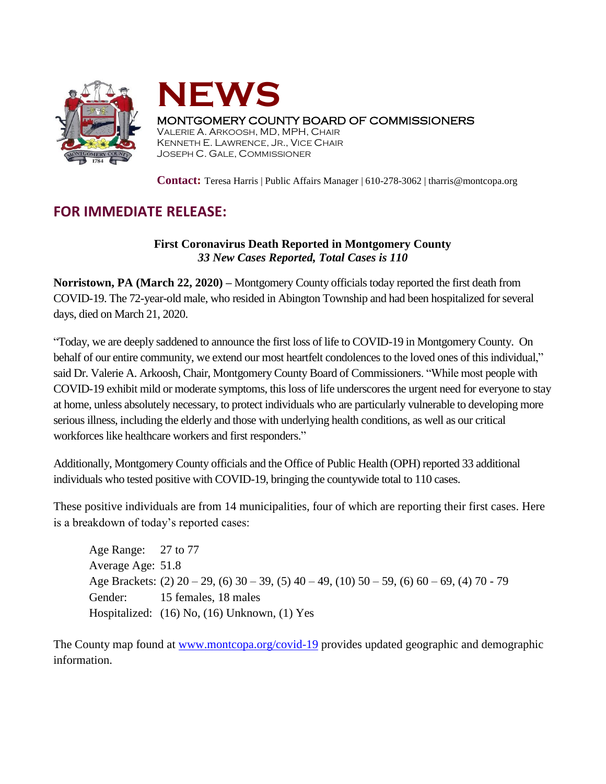



## MONTGOMERY COUNTY BOARD OF COMMISSIONERS

VALERIE A. ARKOOSH, MD, MPH, CHAIR KENNETH E. LAWRENCE, JR., VICE CHAIR JOSEPH C. GALE, COMMISSIONER

**Contact:** Teresa Harris | Public Affairs Manager | 610-278-3062 | tharris@montcopa.org

## **FOR IMMEDIATE RELEASE:**

## **First Coronavirus Death Reported in Montgomery County** *33 New Cases Reported, Total Cases is 110*

**Norristown, PA (March 22, 2020) –** Montgomery County officials today reported the first death from COVID-19. The 72-year-old male, who resided in Abington Township and had been hospitalized for several days, died on March 21, 2020.

"Today, we are deeply saddened to announce the first loss of life to COVID-19 in Montgomery County. On behalf of our entire community, we extend our most heartfelt condolences to the loved ones of this individual," said Dr. Valerie A. Arkoosh, Chair, Montgomery County Board of Commissioners. "While most people with COVID-19 exhibit mild or moderate symptoms, this loss of life underscores the urgent need for everyone to stay at home, unless absolutely necessary, to protect individuals who are particularly vulnerable to developing more serious illness, including the elderly and those with underlying health conditions, as well as our critical workforces like healthcare workers and first responders."

Additionally, Montgomery County officials and the Office of Public Health (OPH) reported 33 additional individuals who tested positive with COVID-19, bringing the countywide total to 110 cases.

These positive individuals are from 14 municipalities, four of which are reporting their first cases. Here is a breakdown of today's reported cases:

Age Range: 27 to 77 Average Age: 51.8 Age Brackets:  $(2)$  20 – 29,  $(6)$  30 – 39,  $(5)$  40 – 49,  $(10)$  50 – 59,  $(6)$  60 – 69,  $(4)$  70 - 79 Gender: 15 females, 18 males Hospitalized: (16) No, (16) Unknown, (1) Yes

The County map found at [www.montcopa.org/covid-19](http://www.montcopa.org/covid-19) provides updated geographic and demographic information.